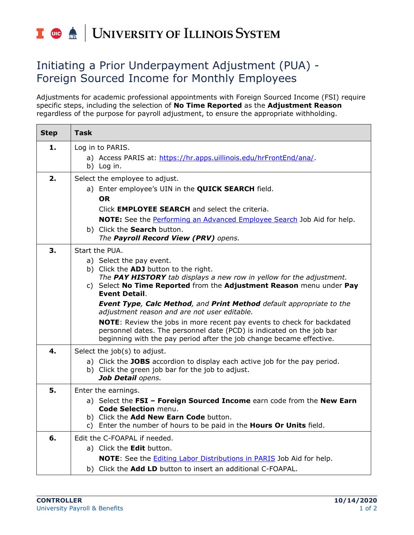## I **the ACCE** UNIVERSITY OF ILLINOIS SYSTEM

## Initiating a Prior Underpayment Adjustment (PUA) - Foreign Sourced Income for Monthly Employees

Adjustments for academic professional appointments with Foreign Sourced Income (FSI) require specific steps, including the selection of **No Time Reported** as the **Adjustment Reason** regardless of the purpose for payroll adjustment, to ensure the appropriate withholding.

| <b>Step</b> | <b>Task</b>                                                                                                                                                                                                                                                                                                                                                                                                                                                                                                                                                                                                           |
|-------------|-----------------------------------------------------------------------------------------------------------------------------------------------------------------------------------------------------------------------------------------------------------------------------------------------------------------------------------------------------------------------------------------------------------------------------------------------------------------------------------------------------------------------------------------------------------------------------------------------------------------------|
| 1.          | Log in to PARIS.<br>a) Access PARIS at: https://hr.apps.uillinois.edu/hrFrontEnd/ana/.<br>b) Log in.                                                                                                                                                                                                                                                                                                                                                                                                                                                                                                                  |
| 2.          | Select the employee to adjust.<br>a) Enter employee's UIN in the <b>QUICK SEARCH</b> field.<br>OR.<br>Click EMPLOYEE SEARCH and select the criteria.<br><b>NOTE:</b> See the Performing an Advanced Employee Search Job Aid for help.<br>b) Click the Search button.<br>The Payroll Record View (PRV) opens.                                                                                                                                                                                                                                                                                                          |
| 3.          | Start the PUA.<br>a) Select the pay event.<br>b) Click the ADJ button to the right.<br>The PAY HISTORY tab displays a new row in yellow for the adjustment.<br>c) Select No Time Reported from the Adjustment Reason menu under Pay<br><b>Event Detail.</b><br><b>Event Type, Calc Method, and Print Method default appropriate to the</b><br>adjustment reason and are not user editable.<br>NOTE: Review the jobs in more recent pay events to check for backdated<br>personnel dates. The personnel date (PCD) is indicated on the job bar<br>beginning with the pay period after the job change became effective. |
| 4.          | Select the job(s) to adjust.<br>a) Click the JOBS accordion to display each active job for the pay period.<br>b) Click the green job bar for the job to adjust.<br>Job Detail opens.                                                                                                                                                                                                                                                                                                                                                                                                                                  |
| 5.          | Enter the earnings.<br>a) Select the FSI - Foreign Sourced Income earn code from the New Earn<br>Code Selection menu.<br>b) Click the Add New Earn Code button.<br>c) Enter the number of hours to be paid in the <b>Hours Or Units</b> field.                                                                                                                                                                                                                                                                                                                                                                        |
| 6.          | Edit the C-FOAPAL if needed.<br>a) Click the <b>Edit</b> button.<br>NOTE: See the <b>Editing Labor Distributions in PARIS</b> Job Aid for help.<br>b) Click the Add LD button to insert an additional C-FOAPAL.                                                                                                                                                                                                                                                                                                                                                                                                       |